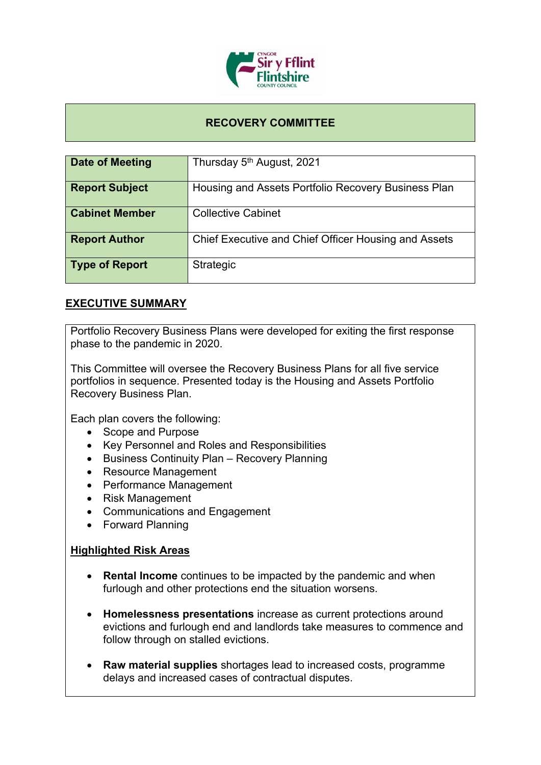

## **RECOVERY COMMITTEE**

| Date of Meeting       | Thursday 5 <sup>th</sup> August, 2021                |
|-----------------------|------------------------------------------------------|
| <b>Report Subject</b> | Housing and Assets Portfolio Recovery Business Plan  |
| <b>Cabinet Member</b> | <b>Collective Cabinet</b>                            |
| <b>Report Author</b>  | Chief Executive and Chief Officer Housing and Assets |
| <b>Type of Report</b> | Strategic                                            |

## **EXECUTIVE SUMMARY**

Portfolio Recovery Business Plans were developed for exiting the first response phase to the pandemic in 2020.

This Committee will oversee the Recovery Business Plans for all five service portfolios in sequence. Presented today is the Housing and Assets Portfolio Recovery Business Plan.

Each plan covers the following:

- Scope and Purpose
- Key Personnel and Roles and Responsibilities
- Business Continuity Plan Recovery Planning
- Resource Management
- Performance Management
- Risk Management
- Communications and Engagement
- Forward Planning

## **Highlighted Risk Areas**

- **Rental Income** continues to be impacted by the pandemic and when furlough and other protections end the situation worsens.
- **Homelessness presentations** increase as current protections around evictions and furlough end and landlords take measures to commence and follow through on stalled evictions.
- **Raw material supplies** shortages lead to increased costs, programme delays and increased cases of contractual disputes.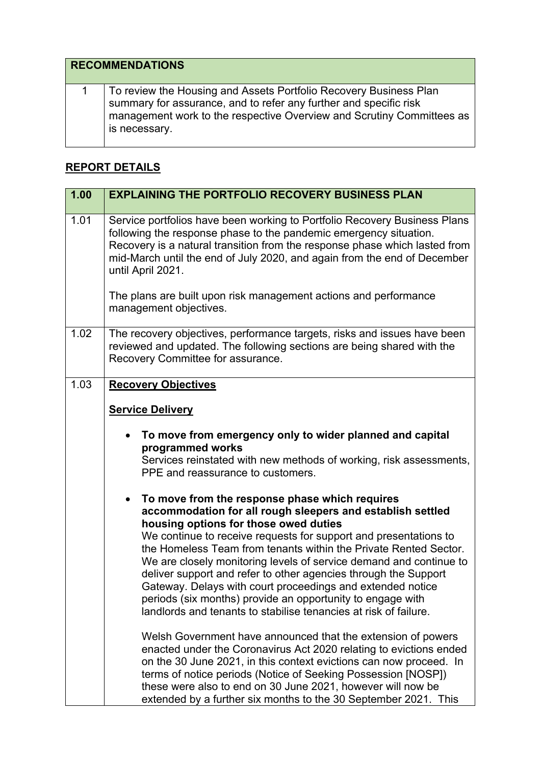| <b>RECOMMENDATIONS</b>                                                                                                                                                                                                           |
|----------------------------------------------------------------------------------------------------------------------------------------------------------------------------------------------------------------------------------|
| To review the Housing and Assets Portfolio Recovery Business Plan<br>summary for assurance, and to refer any further and specific risk<br>management work to the respective Overview and Scrutiny Committees as<br>is necessary. |

## **REPORT DETAILS**

| 1.00 | <b>EXPLAINING THE PORTFOLIO RECOVERY BUSINESS PLAN</b>                                                                                                                                                                                                                                                                                                                                                                                                                                                                 |
|------|------------------------------------------------------------------------------------------------------------------------------------------------------------------------------------------------------------------------------------------------------------------------------------------------------------------------------------------------------------------------------------------------------------------------------------------------------------------------------------------------------------------------|
| 1.01 | Service portfolios have been working to Portfolio Recovery Business Plans<br>following the response phase to the pandemic emergency situation.<br>Recovery is a natural transition from the response phase which lasted from<br>mid-March until the end of July 2020, and again from the end of December<br>until April 2021.<br>The plans are built upon risk management actions and performance                                                                                                                      |
|      | management objectives.                                                                                                                                                                                                                                                                                                                                                                                                                                                                                                 |
| 1.02 | The recovery objectives, performance targets, risks and issues have been<br>reviewed and updated. The following sections are being shared with the<br>Recovery Committee for assurance.                                                                                                                                                                                                                                                                                                                                |
| 1.03 | <b>Recovery Objectives</b>                                                                                                                                                                                                                                                                                                                                                                                                                                                                                             |
|      | <b>Service Delivery</b>                                                                                                                                                                                                                                                                                                                                                                                                                                                                                                |
|      | To move from emergency only to wider planned and capital<br>programmed works<br>Services reinstated with new methods of working, risk assessments,<br>PPE and reassurance to customers.<br>To move from the response phase which requires<br>$\bullet$<br>accommodation for all rough sleepers and establish settled                                                                                                                                                                                                   |
|      | housing options for those owed duties<br>We continue to receive requests for support and presentations to<br>the Homeless Team from tenants within the Private Rented Sector.<br>We are closely monitoring levels of service demand and continue to<br>deliver support and refer to other agencies through the Support<br>Gateway. Delays with court proceedings and extended notice<br>periods (six months) provide an opportunity to engage with<br>landlords and tenants to stabilise tenancies at risk of failure. |
|      | Welsh Government have announced that the extension of powers<br>enacted under the Coronavirus Act 2020 relating to evictions ended<br>on the 30 June 2021, in this context evictions can now proceed. In<br>terms of notice periods (Notice of Seeking Possession [NOSP])<br>these were also to end on 30 June 2021, however will now be<br>extended by a further six months to the 30 September 2021. This                                                                                                            |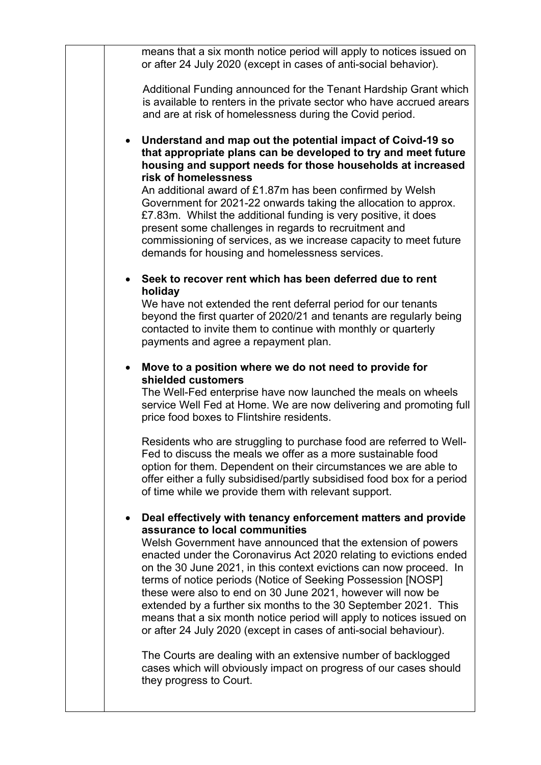|           | means that a six month notice period will apply to notices issued on<br>or after 24 July 2020 (except in cases of anti-social behavior).                                                                                                                                                                                                                                                                                                                                                                                                                                                  |
|-----------|-------------------------------------------------------------------------------------------------------------------------------------------------------------------------------------------------------------------------------------------------------------------------------------------------------------------------------------------------------------------------------------------------------------------------------------------------------------------------------------------------------------------------------------------------------------------------------------------|
|           | Additional Funding announced for the Tenant Hardship Grant which<br>is available to renters in the private sector who have accrued arears<br>and are at risk of homelessness during the Covid period.                                                                                                                                                                                                                                                                                                                                                                                     |
|           | • Understand and map out the potential impact of Coivd-19 so<br>that appropriate plans can be developed to try and meet future<br>housing and support needs for those households at increased<br>risk of homelessness                                                                                                                                                                                                                                                                                                                                                                     |
|           | An additional award of £1.87m has been confirmed by Welsh<br>Government for 2021-22 onwards taking the allocation to approx.<br>£7.83m. Whilst the additional funding is very positive, it does<br>present some challenges in regards to recruitment and<br>commissioning of services, as we increase capacity to meet future<br>demands for housing and homelessness services.                                                                                                                                                                                                           |
|           | Seek to recover rent which has been deferred due to rent<br>holiday<br>We have not extended the rent deferral period for our tenants<br>beyond the first quarter of 2020/21 and tenants are regularly being<br>contacted to invite them to continue with monthly or quarterly                                                                                                                                                                                                                                                                                                             |
| $\bullet$ | payments and agree a repayment plan.<br>Move to a position where we do not need to provide for                                                                                                                                                                                                                                                                                                                                                                                                                                                                                            |
|           | shielded customers<br>The Well-Fed enterprise have now launched the meals on wheels<br>service Well Fed at Home. We are now delivering and promoting full<br>price food boxes to Flintshire residents.                                                                                                                                                                                                                                                                                                                                                                                    |
|           | Residents who are struggling to purchase food are referred to Well-<br>Fed to discuss the meals we offer as a more sustainable food<br>option for them. Dependent on their circumstances we are able to<br>offer either a fully subsidised/partly subsidised food box for a period<br>of time while we provide them with relevant support.                                                                                                                                                                                                                                                |
| $\bullet$ | Deal effectively with tenancy enforcement matters and provide                                                                                                                                                                                                                                                                                                                                                                                                                                                                                                                             |
|           | assurance to local communities<br>Welsh Government have announced that the extension of powers<br>enacted under the Coronavirus Act 2020 relating to evictions ended<br>on the 30 June 2021, in this context evictions can now proceed. In<br>terms of notice periods (Notice of Seeking Possession [NOSP]<br>these were also to end on 30 June 2021, however will now be<br>extended by a further six months to the 30 September 2021. This<br>means that a six month notice period will apply to notices issued on<br>or after 24 July 2020 (except in cases of anti-social behaviour). |
|           | The Courts are dealing with an extensive number of backlogged<br>cases which will obviously impact on progress of our cases should<br>they progress to Court.                                                                                                                                                                                                                                                                                                                                                                                                                             |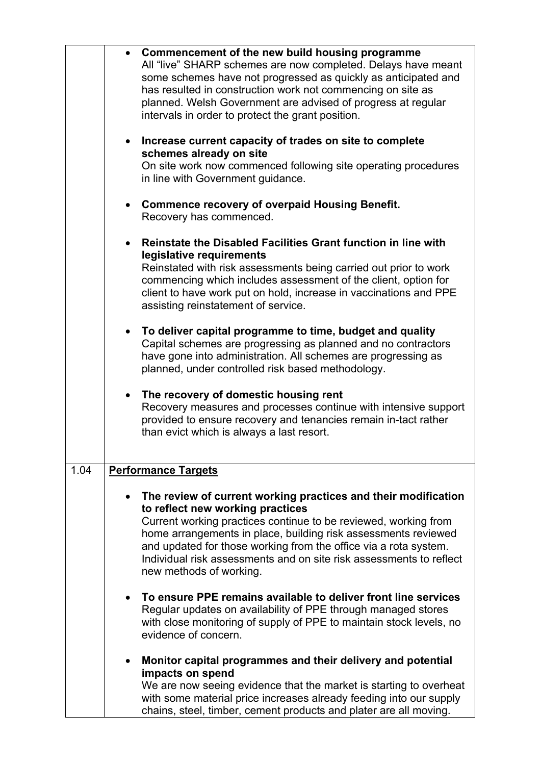|      | • Commencement of the new build housing programme<br>All "live" SHARP schemes are now completed. Delays have meant<br>some schemes have not progressed as quickly as anticipated and<br>has resulted in construction work not commencing on site as<br>planned. Welsh Government are advised of progress at regular<br>intervals in order to protect the grant position.                                      |
|------|---------------------------------------------------------------------------------------------------------------------------------------------------------------------------------------------------------------------------------------------------------------------------------------------------------------------------------------------------------------------------------------------------------------|
|      | Increase current capacity of trades on site to complete<br>schemes already on site                                                                                                                                                                                                                                                                                                                            |
|      | On site work now commenced following site operating procedures<br>in line with Government guidance.                                                                                                                                                                                                                                                                                                           |
|      | • Commence recovery of overpaid Housing Benefit.<br>Recovery has commenced.                                                                                                                                                                                                                                                                                                                                   |
|      | Reinstate the Disabled Facilities Grant function in line with<br>legislative requirements                                                                                                                                                                                                                                                                                                                     |
|      | Reinstated with risk assessments being carried out prior to work<br>commencing which includes assessment of the client, option for<br>client to have work put on hold, increase in vaccinations and PPE<br>assisting reinstatement of service.                                                                                                                                                                |
|      | • To deliver capital programme to time, budget and quality<br>Capital schemes are progressing as planned and no contractors<br>have gone into administration. All schemes are progressing as<br>planned, under controlled risk based methodology.                                                                                                                                                             |
|      | The recovery of domestic housing rent<br>$\bullet$<br>Recovery measures and processes continue with intensive support<br>provided to ensure recovery and tenancies remain in-tact rather<br>than evict which is always a last resort.                                                                                                                                                                         |
| 1.04 | <b>Performance Targets</b>                                                                                                                                                                                                                                                                                                                                                                                    |
|      | The review of current working practices and their modification<br>to reflect new working practices<br>Current working practices continue to be reviewed, working from<br>home arrangements in place, building risk assessments reviewed<br>and updated for those working from the office via a rota system.<br>Individual risk assessments and on site risk assessments to reflect<br>new methods of working. |
|      | To ensure PPE remains available to deliver front line services<br>Regular updates on availability of PPE through managed stores<br>with close monitoring of supply of PPE to maintain stock levels, no<br>evidence of concern.                                                                                                                                                                                |
|      | Monitor capital programmes and their delivery and potential<br>impacts on spend<br>We are now seeing evidence that the market is starting to overheat<br>with some material price increases already feeding into our supply<br>chains, steel, timber, cement products and plater are all moving.                                                                                                              |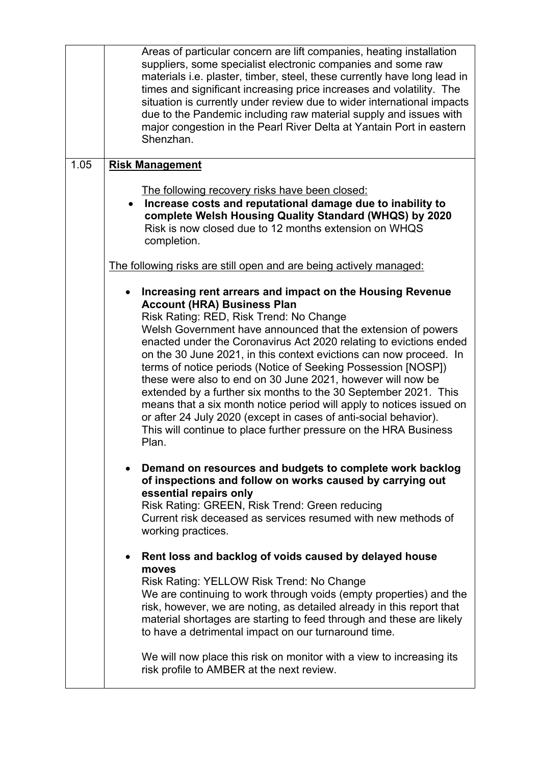|      | Areas of particular concern are lift companies, heating installation<br>suppliers, some specialist electronic companies and some raw<br>materials i.e. plaster, timber, steel, these currently have long lead in<br>times and significant increasing price increases and volatility. The<br>situation is currently under review due to wider international impacts<br>due to the Pandemic including raw material supply and issues with<br>major congestion in the Pearl River Delta at Yantain Port in eastern<br>Shenzhan.                                                                                                                                                                                                                                                                    |
|------|-------------------------------------------------------------------------------------------------------------------------------------------------------------------------------------------------------------------------------------------------------------------------------------------------------------------------------------------------------------------------------------------------------------------------------------------------------------------------------------------------------------------------------------------------------------------------------------------------------------------------------------------------------------------------------------------------------------------------------------------------------------------------------------------------|
| 1.05 | <b>Risk Management</b>                                                                                                                                                                                                                                                                                                                                                                                                                                                                                                                                                                                                                                                                                                                                                                          |
|      | The following recovery risks have been closed:<br>Increase costs and reputational damage due to inability to<br>complete Welsh Housing Quality Standard (WHQS) by 2020<br>Risk is now closed due to 12 months extension on WHQS<br>completion.                                                                                                                                                                                                                                                                                                                                                                                                                                                                                                                                                  |
|      | The following risks are still open and are being actively managed:                                                                                                                                                                                                                                                                                                                                                                                                                                                                                                                                                                                                                                                                                                                              |
|      | Increasing rent arrears and impact on the Housing Revenue<br>$\bullet$<br><b>Account (HRA) Business Plan</b><br>Risk Rating: RED, Risk Trend: No Change<br>Welsh Government have announced that the extension of powers<br>enacted under the Coronavirus Act 2020 relating to evictions ended<br>on the 30 June 2021, in this context evictions can now proceed. In<br>terms of notice periods (Notice of Seeking Possession [NOSP])<br>these were also to end on 30 June 2021, however will now be<br>extended by a further six months to the 30 September 2021. This<br>means that a six month notice period will apply to notices issued on<br>or after 24 July 2020 (except in cases of anti-social behavior).<br>This will continue to place further pressure on the HRA Business<br>Plan. |
|      | Demand on resources and budgets to complete work backlog<br>of inspections and follow on works caused by carrying out<br>essential repairs only<br>Risk Rating: GREEN, Risk Trend: Green reducing<br>Current risk deceased as services resumed with new methods of<br>working practices.                                                                                                                                                                                                                                                                                                                                                                                                                                                                                                        |
|      | Rent loss and backlog of voids caused by delayed house<br>$\bullet$<br>moves<br>Risk Rating: YELLOW Risk Trend: No Change<br>We are continuing to work through voids (empty properties) and the<br>risk, however, we are noting, as detailed already in this report that<br>material shortages are starting to feed through and these are likely<br>to have a detrimental impact on our turnaround time.<br>We will now place this risk on monitor with a view to increasing its<br>risk profile to AMBER at the next review.                                                                                                                                                                                                                                                                   |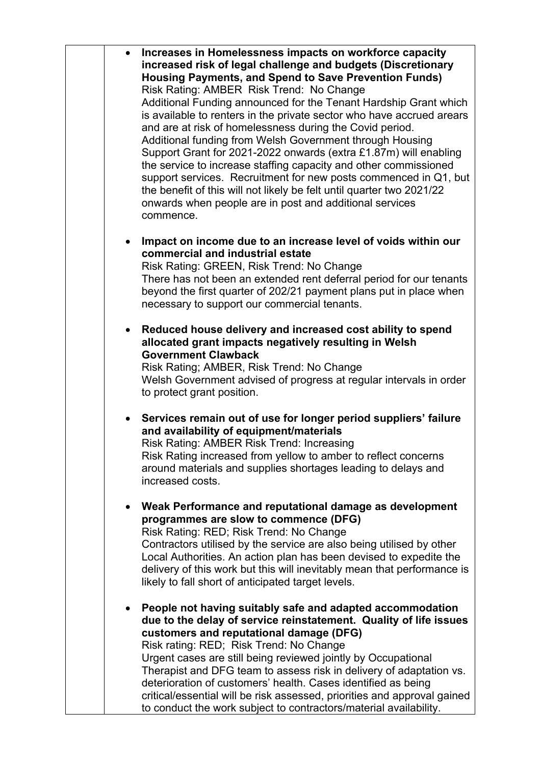|           | Increases in Homelessness impacts on workforce capacity<br>increased risk of legal challenge and budgets (Discretionary<br>Housing Payments, and Spend to Save Prevention Funds)<br>Risk Rating: AMBER Risk Trend: No Change<br>Additional Funding announced for the Tenant Hardship Grant which<br>is available to renters in the private sector who have accrued arears<br>and are at risk of homelessness during the Covid period.<br>Additional funding from Welsh Government through Housing<br>Support Grant for 2021-2022 onwards (extra £1.87m) will enabling<br>the service to increase staffing capacity and other commissioned<br>support services. Recruitment for new posts commenced in Q1, but<br>the benefit of this will not likely be felt until quarter two 2021/22<br>onwards when people are in post and additional services<br>commence. |
|-----------|----------------------------------------------------------------------------------------------------------------------------------------------------------------------------------------------------------------------------------------------------------------------------------------------------------------------------------------------------------------------------------------------------------------------------------------------------------------------------------------------------------------------------------------------------------------------------------------------------------------------------------------------------------------------------------------------------------------------------------------------------------------------------------------------------------------------------------------------------------------|
|           | Impact on income due to an increase level of voids within our<br>commercial and industrial estate<br>Risk Rating: GREEN, Risk Trend: No Change<br>There has not been an extended rent deferral period for our tenants<br>beyond the first quarter of 202/21 payment plans put in place when<br>necessary to support our commercial tenants.                                                                                                                                                                                                                                                                                                                                                                                                                                                                                                                    |
| $\bullet$ | Reduced house delivery and increased cost ability to spend<br>allocated grant impacts negatively resulting in Welsh<br><b>Government Clawback</b><br>Risk Rating; AMBER, Risk Trend: No Change<br>Welsh Government advised of progress at regular intervals in order<br>to protect grant position.                                                                                                                                                                                                                                                                                                                                                                                                                                                                                                                                                             |
| $\bullet$ | Services remain out of use for longer period suppliers' failure<br>and availability of equipment/materials<br>Risk Rating: AMBER Risk Trend: Increasing<br>Risk Rating increased from yellow to amber to reflect concerns<br>around materials and supplies shortages leading to delays and<br>increased costs.                                                                                                                                                                                                                                                                                                                                                                                                                                                                                                                                                 |
| $\bullet$ | Weak Performance and reputational damage as development<br>programmes are slow to commence (DFG)<br>Risk Rating: RED; Risk Trend: No Change<br>Contractors utilised by the service are also being utilised by other<br>Local Authorities. An action plan has been devised to expedite the<br>delivery of this work but this will inevitably mean that performance is<br>likely to fall short of anticipated target levels.                                                                                                                                                                                                                                                                                                                                                                                                                                     |
|           | People not having suitably safe and adapted accommodation<br>due to the delay of service reinstatement. Quality of life issues<br>customers and reputational damage (DFG)<br>Risk rating: RED; Risk Trend: No Change<br>Urgent cases are still being reviewed jointly by Occupational<br>Therapist and DFG team to assess risk in delivery of adaptation vs.<br>deterioration of customers' health. Cases identified as being<br>critical/essential will be risk assessed, priorities and approval gained<br>to conduct the work subject to contractors/material availability.                                                                                                                                                                                                                                                                                 |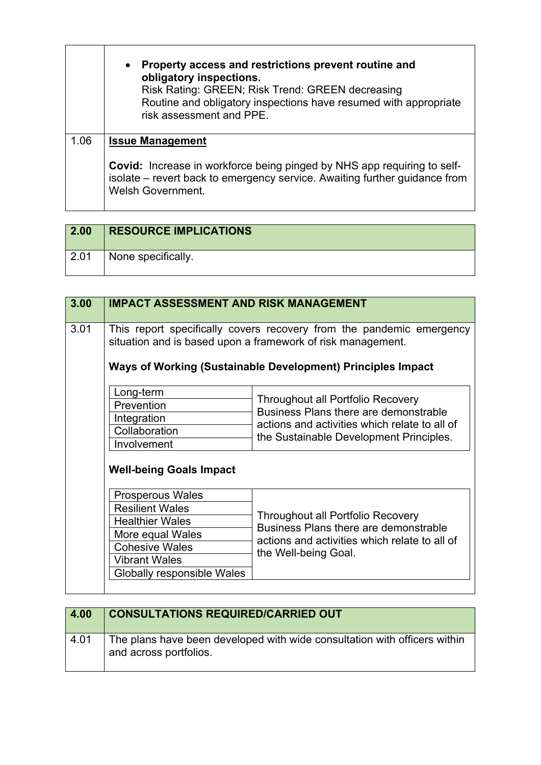|      | Property access and restrictions prevent routine and<br>$\bullet$<br>obligatory inspections.<br>Risk Rating: GREEN; Risk Trend: GREEN decreasing<br>Routine and obligatory inspections have resumed with appropriate<br>risk assessment and PPE. |
|------|--------------------------------------------------------------------------------------------------------------------------------------------------------------------------------------------------------------------------------------------------|
| 1.06 | <b>Issue Management</b><br><b>Covid:</b> Increase in workforce being pinged by NHS app requiring to self-<br>isolate – revert back to emergency service. Awaiting further guidance from<br><b>Welsh Government.</b>                              |

 $\Gamma$ 

 $\overline{\mathbf{r}}$ 

| 2.00 | <b>RESOURCE IMPLICATIONS</b> |
|------|------------------------------|
| 2.01 | None specifically.           |

| 3.00 | <b>IMPACT ASSESSMENT AND RISK MANAGEMENT</b>              |                                                                                                                                                                                                    |
|------|-----------------------------------------------------------|----------------------------------------------------------------------------------------------------------------------------------------------------------------------------------------------------|
| 3.01 |                                                           | This report specifically covers recovery from the pandemic emergency<br>situation and is based upon a framework of risk management.<br>Ways of Working (Sustainable Development) Principles Impact |
|      | Long-term                                                 |                                                                                                                                                                                                    |
|      | Prevention                                                | <b>Throughout all Portfolio Recovery</b><br>Business Plans there are demonstrable                                                                                                                  |
|      | Integration                                               | actions and activities which relate to all of                                                                                                                                                      |
|      | Collaboration                                             | the Sustainable Development Principles.                                                                                                                                                            |
|      | Involvement                                               |                                                                                                                                                                                                    |
|      | <b>Well-being Goals Impact</b><br><b>Prosperous Wales</b> |                                                                                                                                                                                                    |
|      | <b>Resilient Wales</b>                                    |                                                                                                                                                                                                    |
|      | <b>Healthier Wales</b>                                    | <b>Throughout all Portfolio Recovery</b><br>Business Plans there are demonstrable                                                                                                                  |
|      | More equal Wales                                          | actions and activities which relate to all of                                                                                                                                                      |
|      | <b>Cohesive Wales</b>                                     | the Well-being Goal.                                                                                                                                                                               |
|      | <b>Vibrant Wales</b>                                      |                                                                                                                                                                                                    |
|      | Globally responsible Wales                                |                                                                                                                                                                                                    |
|      |                                                           |                                                                                                                                                                                                    |

| 4.00 | <b>CONSULTATIONS REQUIRED/CARRIED OUT</b>                                                           |
|------|-----------------------------------------------------------------------------------------------------|
| 4.01 | The plans have been developed with wide consultation with officers within<br>and across portfolios. |